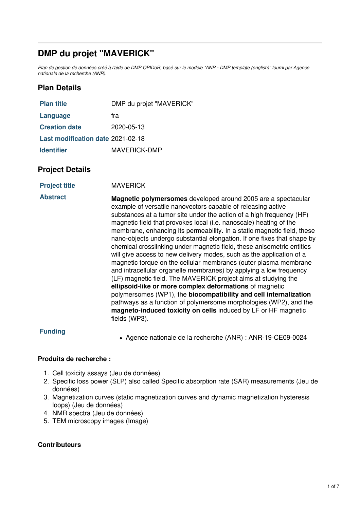# **DMP du projet "MAVERICK"**

Plan de gestion de données créé à l'aide de DMP OPIDoR, basé sur le modèle "ANR - DMP template (english)" fourni par Agence *nationale de la recherche (ANR).*

# **Plan Details**

| <b>Plan title</b>                 | DMP du projet "MAVERICK" |
|-----------------------------------|--------------------------|
| Language                          | fra                      |
| <b>Creation date</b>              | 2020-05-13               |
| Last modification date 2021-02-18 |                          |
| <b>Identifier</b>                 | MAVERICK-DMP             |

## **Project Details**

| <b>Project title</b> | <b>MAVERICK</b> |
|----------------------|-----------------|
|----------------------|-----------------|

**Abstract Magnetic polymersomes** developed around 2005 are a spectacular example of versatile nanovectors capable of releasing active substances at a tumor site under the action of a high frequency (HF) magnetic field that provokes local (i.e. nanoscale) heating of the membrane, enhancing its permeability. In a static magnetic field, these nano-objects undergo substantial elongation. If one fixes that shape by chemical crosslinking under magnetic field, these anisometric entities will give access to new delivery modes, such as the application of a magnetic torque on the cellular membranes (outer plasma membrane and intracellular organelle membranes) by applying a low frequency (LF) magnetic field. The MAVERICK project aims at studying the **ellipsoid-like or more complex deformations** of magnetic polymersomes (WP1), the **biocompatibility and cell internalization** pathways as a function of polymersome morphologies (WP2), and the **magneto-induced toxicity on cells** induced by LF or HF magnetic fields (WP3).

## **Funding**

Agence nationale de la recherche (ANR) : ANR-19-CE09-0024

### **Produits de recherche :**

- 1. Cell toxicity assays (Jeu de données)
- 2. Specific loss power (SLP) also called Specific absorption rate (SAR) measurements (Jeu de données)
- 3. Magnetization curves (static magnetization curves and dynamic magnetization hysteresis loops) (Jeu de données)
- 4. NMR spectra (Jeu de données)
- 5. TEM microscopy images (Image)

### **Contributeurs**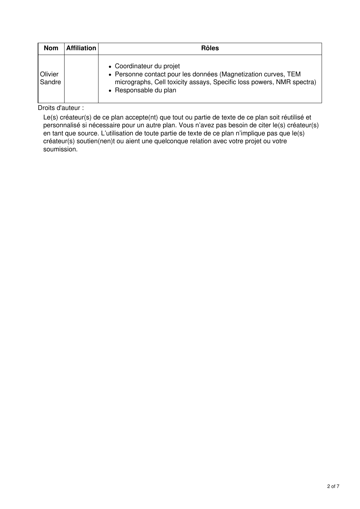| <b>Nom</b>        | <b>Affiliation</b> | <b>Rôles</b>                                                                                                                                                                                 |
|-------------------|--------------------|----------------------------------------------------------------------------------------------------------------------------------------------------------------------------------------------|
| Olivier<br>Sandre |                    | • Coordinateur du projet<br>• Personne contact pour les données (Magnetization curves, TEM<br>micrographs, Cell toxicity assays, Specific loss powers, NMR spectra)<br>• Responsable du plan |

Droits d'auteur :

Le(s) créateur(s) de ce plan accepte(nt) que tout ou partie de texte de ce plan soit réutilisé et personnalisé si nécessaire pour un autre plan. Vous n'avez pas besoin de citer le(s) créateur(s) en tant que source. L'utilisation de toute partie de texte de ce plan n'implique pas que le(s) créateur(s) soutien(nen)t ou aient une quelconque relation avec votre projet ou votre soumission.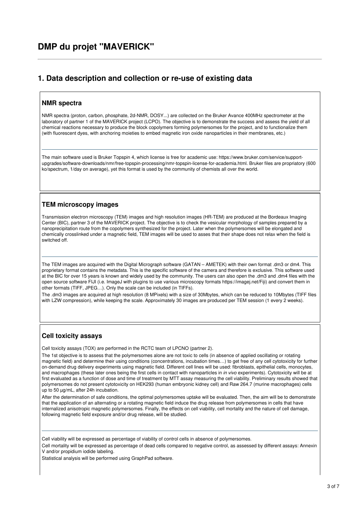## **1. Data description and collection or re-use of existing data**

#### **NMR spectra**

NMR spectra (proton, carbon, phosphate, 2d-NMR, DOSY...) are collected on the Bruker Avance 400MHz spectrometer at the laboratory of partner 1 of the MAVERICK project (LCPO). The objective is to demonstrate the success and assess the yield of all chemical reactions necessary to produce the block copolymers forming polymersomes for the project, and to functionalize them (with fluorescent dyes, with anchoring moieties to embed magnetic iron oxide nanoparticles in their membranes, etc.)

The main software used is Bruker Topspin 4, which license is free for academic use: https://www.bruker.com/service/supportupgrades/software-downloads/nmr/free-topspin-processing/nmr-topspin-license-for-academia.html. Bruker files are propriatory (600 ko/spectrum, 1/day on average), yet this format is used by the community of chemists all over the world.

## **TEM microscopy images**

Transmission electron microscopy (TEM) images and high resolution images (HR-TEM) are produced at the Bordeaux Imaging Center (BIC), partner 3 of the MAVERICK project. The objective is to check the vesicular morphology of samples prepared by a nanoprecipitation route from the copolymers synthesized for the project. Later when the polymersomes will be elongated and chemically crosslinked under a magnetic field, TEM images will be used to asses that their shape does not relax when the field is switched off.

The TEM images are acquired with the Digital Micrograph software (GATAN – AMETEK) with their own format .dm3 or dm4. This proprietary format contains the metadata. This is the specific software of the camera and therefore is exclusive. This software used at the BIC for over 15 years is known and widely used by the community. The users can also open the .dm3 and .dm4 files with the open source software FIJI (i.e. ImageJ with plugins to use various microscopy formats https://imagej.net/Fiji) and convert them in other formats (TIFF, JPEG…). Only the scale can be included (in TIFFs).

The .dm3 images are acquired at high resolution (8 MPixels) with a size of 30Mbytes, which can be reduced to 10Mbytes (TIFF files with LZW compression), while keeping the scale. Approximately 30 images are produced per TEM session (1 every 2 weeks).

### **Cell toxicity assays**

Cell toxicity assays (TOX) are performed in the RCTC team of LPCNO (partner 2).

The 1st objective is to assess that the polymersomes alone are not toxic to cells (in absence of applied oscillating or rotating magnetic field) and determine their using conditions (concentrations, incubation times…) to get free of any cell cytotoxicity for further on-demand drug delivery experiments using magnetic field. Different cell lines will be used: fibroblasts, epithelial cells, monocytes, and macrophages (these later ones being the first cells in contact with nanoparticles in *in vivo* experiments). Cytotoxicity will be at first evaluated as a function of dose and time of treatment by MTT assay measuring the cell viability. Preliminary results showed that polymersomes do not present cytotoxicity on HEK293 (human embryonic kidney cell) and Raw 264.7 (murine macrophages) cells up to 50 µg/mL, after 24h incubation.

After the determination of safe conditions, the optimal polymersomes uptake will be evaluated. Then, the aim will be to demonstrate that the application of an alternating or a rotating magnetic field induce the drug release from polymersomes in cells that have internalized anisotropic magnetic polymersomes. Finally, the effects on cell viability, cell mortality and the nature of cell damage, following magnetic field exposure and/or drug release, will be studied.

Cell viability will be expressed as percentage of viability of control cells in absence of polymersomes.

Cell mortality will be expressed as percentage of dead cells compared to negative control, as assessed by different assays: Annexin V and/or propidium iodide labeling.

Statistical analysis will be performed using GraphPad software.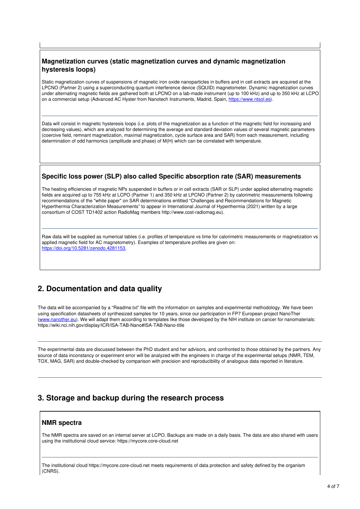## **Magnetization curves (static magnetization curves and dynamic magnetization hysteresis loops)**

Static magnetization curves of suspensions of magnetic iron oxide nanoparticles in buffers and in cell extracts are acquired at the LPCNO (Partner 2) using a superconducting quantum interference device (SQUID) magnetometer. Dynamic magnetization curves under alternating magnetic fields are gathered both at LPCNO on a lab-made instrument (up to 100 kHz) and up to 350 kHz at LCPO on a commercial setup (Advanced AC Hyster from Nanotech Instruments, Madrid, Spain, <https://www.ntsol.es>).

Data will consist in magnetic hysteresis loops (i.e. plots of the magnetization as a function of the magnetic field for increasing and decreasing values), which are analyzed for determining the average and standard deviation values of several magnetic parameters (coercive field, remnant magnetization, maximal magnetization, cycle surface area and SAR) from each measurement, including determination of odd harmonics (amplitude and phase) of M(H) which can be correlated with temperature.

#### **Specific loss power (SLP) also called Specific absorption rate (SAR) measurements**

The heating efficiencies of magnetic NPs suspended in buffers or in cell extracts (SAR or SLP) under applied alternating magnetic fields are acquired up to 755 kHz at LCPO (Partner 1) and 350 kHz at LPCNO (Partner 2) by calorimetric measurements following recommendations of the "white paper" on SAR determinations entitled "Challenges and Recommendations for Magnetic Hyperthermia Characterization Measurements" to appear in International Journal of Hyperthermia (2021) written by a large consortium of COST TD1402 action RadioMag members http://www.cost-radiomag.eu).

Raw data will be supplied as numerical tables (i.e. profiles of temperature vs time for calorimetric measurements or magnetization vs applied magnetic field for AC magnetometry). Examples of temperature profiles are given on: <https://doi.org/10.5281/zenodo.4281153>.

# **2. Documentation and data quality**

The data will be accompanied by a "Readme.txt" file with the information on samples and experimental methodology. We have been using specification datasheets of synthesized samples for 10 years, since our participation in FP7 European project NanoTher [\(www.nanother.eu](http://www.nanother.eu)). We will adapt them according to templates like those developed by the NIH institute on cancer for nanomaterials: https://wiki.nci.nih.gov/display/ICR/ISA-TAB-Nano#ISA-TAB-Nano-title

The experimental data are discussed between the PhD student and her advisors, and confronted to those obtained by the partners. Any source of data inconstancy or experiment error will be analyzed with the engineers in charge of the experimental setups (NMR, TEM, TOX, MAG, SAR) and double-checked by comparison with precision and reproducibility of analogous data reported in literature.

# **3. Storage and backup during the research process**

### **NMR spectra**

The NMR spectra are saved on an internal server at LCPO. Backups are made on a daily basis. The data are also shared with users using the institutional cloud service: https://mycore.core-cloud.net

The institutional cloud https://mycore.core-cloud.net meets requirements of data protection and safety defined by the organism (CNRS).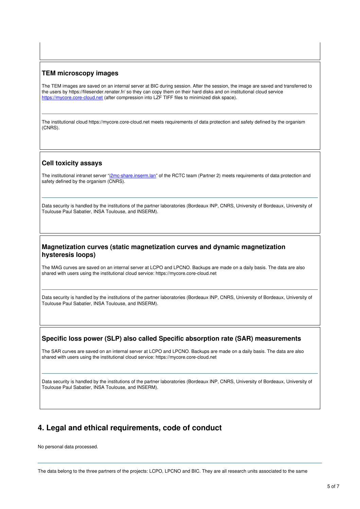#### **TEM microscopy images**

The TEM images are saved on an internal server at BIC during session. After the session, the image are saved and transferred to the users by https://filesender.renater.fr/ so they can copy them on their hard disks and on institutional cloud service <https://mycore.core-cloud.net> (after compression into LZF TIFF files to minimized disk space).

The institutional cloud https://mycore.core-cloud.net meets requirements of data protection and safety defined by the organism (CNRS).

#### **Cell toxicity assays**

The institutional intranet server "i**2mc-share.inserm.lan**" of the RCTC team (Partner 2) meets requirements of data protection and safety defined by the organism (CNRS).

Data security is handled by the institutions of the partner laboratories (Bordeaux INP, CNRS, University of Bordeaux, University of Toulouse Paul Sabatier, INSA Toulouse, and INSERM).

#### **Magnetization curves (static magnetization curves and dynamic magnetization hysteresis loops)**

The MAG curves are saved on an internal server at LCPO and LPCNO. Backups are made on a daily basis. The data are also shared with users using the institutional cloud service: https://mycore.core-cloud.net

Data security is handled by the institutions of the partner laboratories (Bordeaux INP, CNRS, University of Bordeaux, University of Toulouse Paul Sabatier, INSA Toulouse, and INSERM).

#### **Specific loss power (SLP) also called Specific absorption rate (SAR) measurements**

The SAR curves are saved on an internal server at LCPO and LPCNO. Backups are made on a daily basis. The data are also shared with users using the institutional cloud service: https://mycore.core-cloud.net

Data security is handled by the institutions of the partner laboratories (Bordeaux INP, CNRS, University of Bordeaux, University of Toulouse Paul Sabatier, INSA Toulouse, and INSERM).

## **4. Legal and ethical requirements, code of conduct**

No personal data processed.

The data belong to the three partners of the projects: LCPO, LPCNO and BIC. They are all research units associated to the same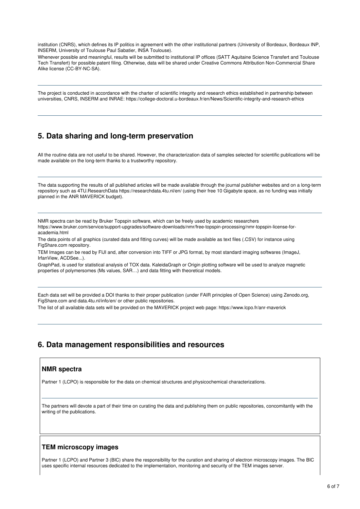institution (CNRS), which defines its IP politics in agreement with the other institutional partners (University of Bordeaux, Bordeaux INP, INSERM, University of Toulouse Paul Sabatier, INSA Toulouse).

Whenever possible and meaningful, results will be submitted to institutional IP offices (SATT Aquitaine Science Transfert and Toulouse Tech Transfert) for possible patent filing. Otherwise, data will be shared under Creative Commons Attribution Non-Commercial Share Alike license (CC-BY-NC-SA).

The project is conducted in accordance with the charter of scientific integrity and research ethics established in partnership between universities, CNRS, INSERM and INRAE: https://college-doctoral.u-bordeaux.fr/en/News/Scientific-integrity-and-research-ethics

# **5. Data sharing and long-term preservation**

All the routine data are not useful to be shared. However, the characterization data of samples selected for scientific publications will be made available on the long-term thanks to a trustworthy repository.

The data supporting the results of all published articles will be made available through the journal publisher websites and on a long-term repository such as 4TU.ResearchData https://researchdata.4tu.nl/en/ (using their free 10 Gigabyte space, as no funding was initially planned in the ANR MAVERICK budget).

NMR spectra can be read by Bruker Topspin software, which can be freely used by academic researchers https://www.bruker.com/service/support-upgrades/software-downloads/nmr/free-topspin-processing/nmr-topspin-license-foracademia.html

The data points of all graphics (curated data and fitting curves) will be made available as text files (.CSV) for instance using FigShare.com repository.

TEM Images can be read by FIJI and, after conversion into TIFF or JPG format, by most standard imaging softwares (ImageJ, IrfanView, ACDSee...).

GraphPad, is used for statistical analysis of TOX data. KaleidaGraph or Origin plotting software will be used to analyze magnetic properties of polymersomes (Ms values, SAR…) and data fitting with theoretical models.

Each data set will be provided a DOI thanks to their proper publication (under FAIR principles of Open Science) using Zenodo.org, FigShare.com and data.4tu.nl/info/en/ or other public repositories.

The list of all available data sets will be provided on the MAVERICK project web page: https://www.lcpo.fr/anr-maverick

# **6. Data management responsibilities and resources**

#### **NMR spectra**

Partner 1 (LCPO) is responsible for the data on chemical structures and physicochemical characterizations.

The partners will devote a part of their time on curating the data and publishing them on public repositories, concomitantly with the writing of the publications.

#### **TEM microscopy images**

Partner 1 (LCPO) and Partner 3 (BIC) share the responsibility for the curation and sharing of electron microscopy images. The BIC uses specific internal resources dedicated to the implementation, monitoring and security of the TEM images server.